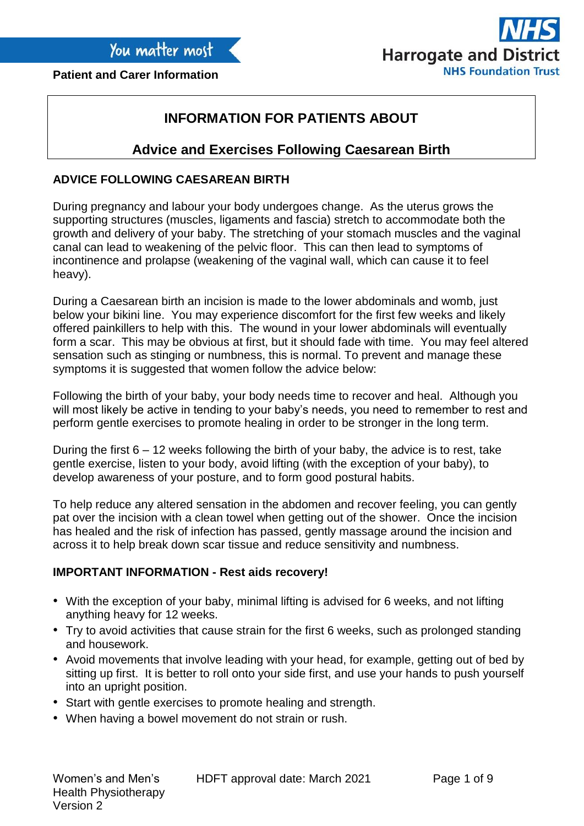

# **INFORMATION FOR PATIENTS ABOUT**

# **Advice and Exercises Following Caesarean Birth**

# **ADVICE FOLLOWING CAESAREAN BIRTH**

During pregnancy and labour your body undergoes change. As the uterus grows the supporting structures (muscles, ligaments and fascia) stretch to accommodate both the growth and delivery of your baby. The stretching of your stomach muscles and the vaginal canal can lead to weakening of the pelvic floor. This can then lead to symptoms of incontinence and prolapse (weakening of the vaginal wall, which can cause it to feel heavy).

During a Caesarean birth an incision is made to the lower abdominals and womb, just below your bikini line. You may experience discomfort for the first few weeks and likely offered painkillers to help with this. The wound in your lower abdominals will eventually form a scar. This may be obvious at first, but it should fade with time. You may feel altered sensation such as stinging or numbness, this is normal. To prevent and manage these symptoms it is suggested that women follow the advice below:

Following the birth of your baby, your body needs time to recover and heal. Although you will most likely be active in tending to your baby's needs, you need to remember to rest and perform gentle exercises to promote healing in order to be stronger in the long term.

During the first 6 – 12 weeks following the birth of your baby, the advice is to rest, take gentle exercise, listen to your body, avoid lifting (with the exception of your baby), to develop awareness of your posture, and to form good postural habits.

To help reduce any altered sensation in the abdomen and recover feeling, you can gently pat over the incision with a clean towel when getting out of the shower. Once the incision has healed and the risk of infection has passed, gently massage around the incision and across it to help break down scar tissue and reduce sensitivity and numbness.

### **IMPORTANT INFORMATION - Rest aids recovery!**

- With the exception of your baby, minimal lifting is advised for 6 weeks, and not lifting anything heavy for 12 weeks.
- Try to avoid activities that cause strain for the first 6 weeks, such as prolonged standing and housework.
- Avoid movements that involve leading with your head, for example, getting out of bed by sitting up first. It is better to roll onto your side first, and use your hands to push yourself into an upright position.
- Start with gentle exercises to promote healing and strength.
- When having a bowel movement do not strain or rush.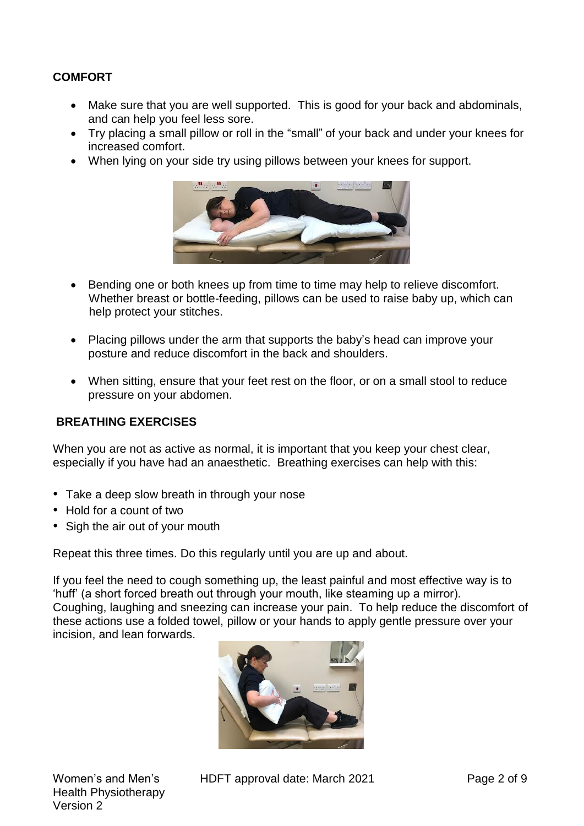# **COMFORT**

- Make sure that you are well supported. This is good for your back and abdominals, and can help you feel less sore.
- Try placing a small pillow or roll in the "small" of your back and under your knees for increased comfort.
- When lying on your side try using pillows between your knees for support.



- Bending one or both knees up from time to time may help to relieve discomfort. Whether breast or bottle-feeding, pillows can be used to raise baby up, which can help protect your stitches.
- Placing pillows under the arm that supports the baby's head can improve your posture and reduce discomfort in the back and shoulders.
- When sitting, ensure that your feet rest on the floor, or on a small stool to reduce pressure on your abdomen.

### **BREATHING EXERCISES**

When you are not as active as normal, it is important that you keep your chest clear, especially if you have had an anaesthetic. Breathing exercises can help with this:

- Take a deep slow breath in through your nose
- Hold for a count of two
- Sigh the air out of your mouth

Repeat this three times. Do this regularly until you are up and about.

If you feel the need to cough something up, the least painful and most effective way is to 'huff' (a short forced breath out through your mouth, like steaming up a mirror). Coughing, laughing and sneezing can increase your pain. To help reduce the discomfort of these actions use a folded towel, pillow or your hands to apply gentle pressure over your incision, and lean forwards.



HDFT approval date: March 2021 Page 2 of 9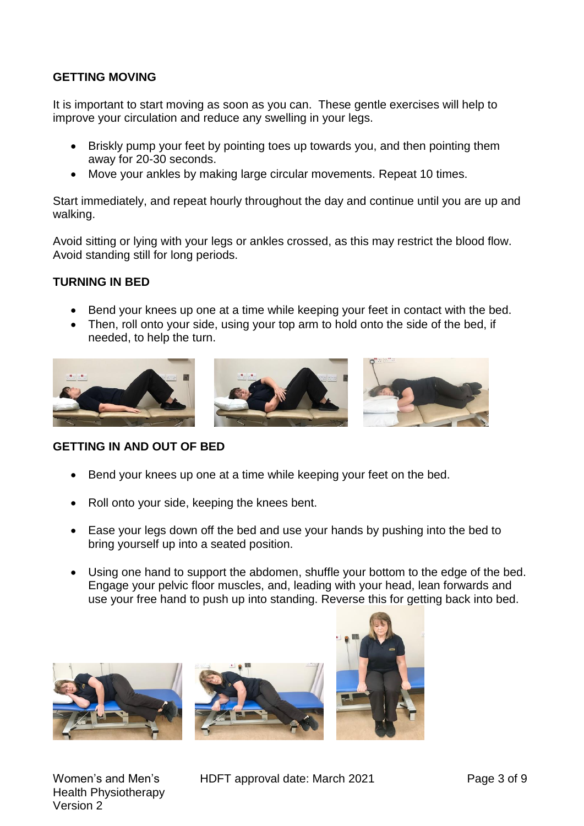# **GETTING MOVING**

It is important to start moving as soon as you can. These gentle exercises will help to improve your circulation and reduce any swelling in your legs.

- Briskly pump your feet by pointing toes up towards you, and then pointing them away for 20-30 seconds.
- Move your ankles by making large circular movements. Repeat 10 times.

Start immediately, and repeat hourly throughout the day and continue until you are up and walking.

Avoid sitting or lying with your legs or ankles crossed, as this may restrict the blood flow. Avoid standing still for long periods.

## **TURNING IN BED**

- Bend your knees up one at a time while keeping your feet in contact with the bed.
- Then, roll onto your side, using your top arm to hold onto the side of the bed, if needed, to help the turn.



**GETTING IN AND OUT OF BED**

- Bend your knees up one at a time while keeping your feet on the bed.
- Roll onto your side, keeping the knees bent.
- Ease your legs down off the bed and use your hands by pushing into the bed to bring yourself up into a seated position.
- Using one hand to support the abdomen, shuffle your bottom to the edge of the bed. Engage your pelvic floor muscles, and, leading with your head, lean forwards and use your free hand to push up into standing. Reverse this for getting back into bed.







Women's and Men's Health Physiotherapy Version 2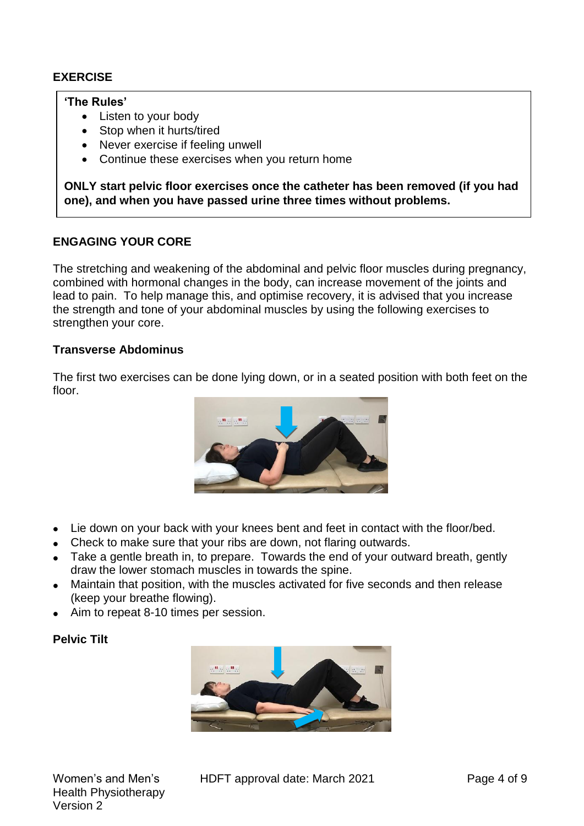# **EXERCISE**

### **'The Rules'**

- Listen to your body
- Stop when it hurts/tired
- Never exercise if feeling unwell
- Continue these exercises when you return home

**ONLY start pelvic floor exercises once the catheter has been removed (if you had one), and when you have passed urine three times without problems.**

## **ENGAGING YOUR CORE**

The stretching and weakening of the abdominal and pelvic floor muscles during pregnancy, combined with hormonal changes in the body, can increase movement of the joints and lead to pain. To help manage this, and optimise recovery, it is advised that you increase the strength and tone of your abdominal muscles by using the following exercises to strengthen your core.

### **Transverse Abdominus**

The first two exercises can be done lying down, or in a seated position with both feet on the floor.



- Lie down on your back with your knees bent and feet in contact with the floor/bed.
- Check to make sure that your ribs are down, not flaring outwards.
- Take a gentle breath in, to prepare. Towards the end of your outward breath, gently draw the lower stomach muscles in towards the spine.
- Maintain that position, with the muscles activated for five seconds and then release (keep your breathe flowing).
- Aim to repeat 8-10 times per session.

### **Pelvic Tilt**

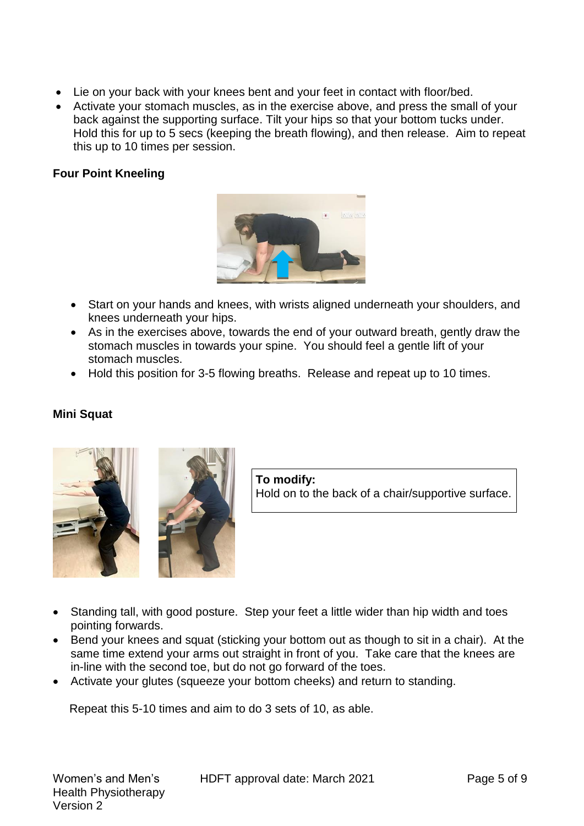- Lie on your back with your knees bent and your feet in contact with floor/bed.
- Activate your stomach muscles, as in the exercise above, and press the small of your back against the supporting surface. Tilt your hips so that your bottom tucks under. Hold this for up to 5 secs (keeping the breath flowing), and then release. Aim to repeat this up to 10 times per session.

# **Four Point Kneeling**



- Start on your hands and knees, with wrists aligned underneath your shoulders, and knees underneath your hips.
- As in the exercises above, towards the end of your outward breath, gently draw the stomach muscles in towards your spine. You should feel a gentle lift of your stomach muscles.
- Hold this position for 3-5 flowing breaths. Release and repeat up to 10 times.

### **Mini Squat**





**To modify:** Hold on to the back of a chair/supportive surface.

- Standing tall, with good posture. Step your feet a little wider than hip width and toes pointing forwards.
- Bend your knees and squat (sticking your bottom out as though to sit in a chair). At the same time extend your arms out straight in front of you. Take care that the knees are in-line with the second toe, but do not go forward of the toes.
- Activate your glutes (squeeze your bottom cheeks) and return to standing.

Repeat this 5-10 times and aim to do 3 sets of 10, as able.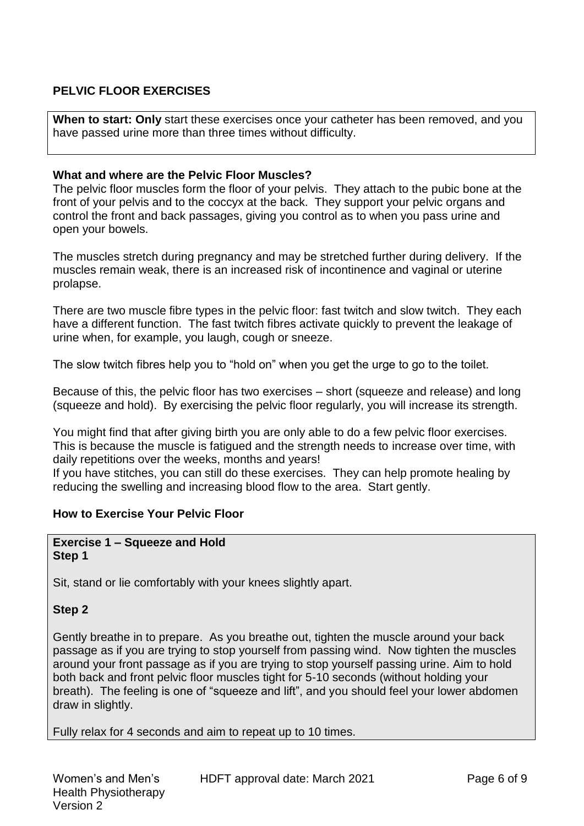# **PELVIC FLOOR EXERCISES**

**When to start: Only** start these exercises once your catheter has been removed, and you have passed urine more than three times without difficulty.

### **What and where are the Pelvic Floor Muscles?**

The pelvic floor muscles form the floor of your pelvis. They attach to the pubic bone at the front of your pelvis and to the coccyx at the back. They support your pelvic organs and control the front and back passages, giving you control as to when you pass urine and open your bowels.

The muscles stretch during pregnancy and may be stretched further during delivery. If the muscles remain weak, there is an increased risk of incontinence and vaginal or uterine prolapse.

There are two muscle fibre types in the pelvic floor: fast twitch and slow twitch. They each have a different function. The fast twitch fibres activate quickly to prevent the leakage of urine when, for example, you laugh, cough or sneeze.

The slow twitch fibres help you to "hold on" when you get the urge to go to the toilet.

Because of this, the pelvic floor has two exercises – short (squeeze and release) and long (squeeze and hold). By exercising the pelvic floor regularly, you will increase its strength.

You might find that after giving birth you are only able to do a few pelvic floor exercises. This is because the muscle is fatigued and the strength needs to increase over time, with daily repetitions over the weeks, months and years!

If you have stitches, you can still do these exercises. They can help promote healing by reducing the swelling and increasing blood flow to the area. Start gently.

# **How to Exercise Your Pelvic Floor**

#### **Exercise 1 – Squeeze and Hold Step 1**

Sit, stand or lie comfortably with your knees slightly apart.

### **Step 2**

Gently breathe in to prepare. As you breathe out, tighten the muscle around your back passage as if you are trying to stop yourself from passing wind. Now tighten the muscles around your front passage as if you are trying to stop yourself passing urine. Aim to hold both back and front pelvic floor muscles tight for 5-10 seconds (without holding your breath). The feeling is one of "squeeze and lift", and you should feel your lower abdomen draw in slightly.

Fully relax for 4 seconds and aim to repeat up to 10 times.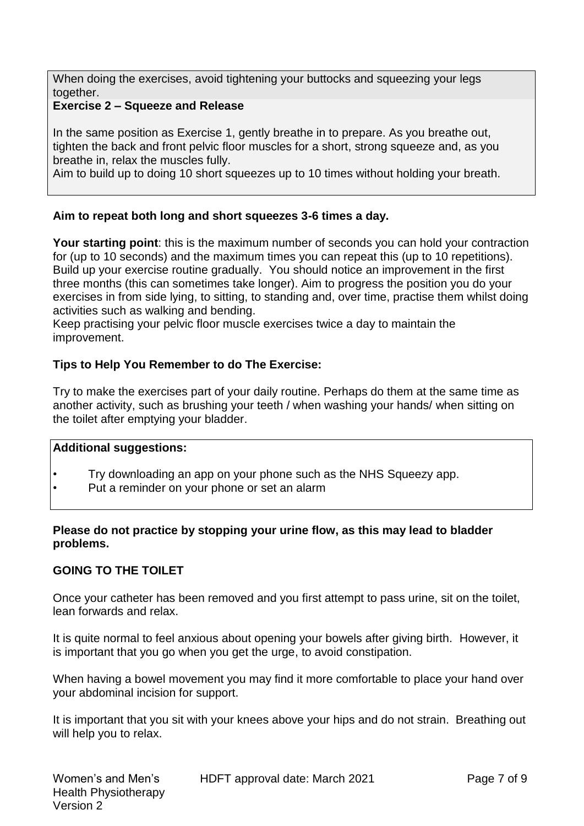When doing the exercises, avoid tightening your buttocks and squeezing your legs together.

# **Exercise 2 – Squeeze and Release**

In the same position as Exercise 1, gently breathe in to prepare. As you breathe out, tighten the back and front pelvic floor muscles for a short, strong squeeze and, as you breathe in, relax the muscles fully.

Aim to build up to doing 10 short squeezes up to 10 times without holding your breath.

# **Aim to repeat both long and short squeezes 3-6 times a day.**

**Your starting point**: this is the maximum number of seconds you can hold your contraction for (up to 10 seconds) and the maximum times you can repeat this (up to 10 repetitions). Build up your exercise routine gradually. You should notice an improvement in the first three months (this can sometimes take longer). Aim to progress the position you do your exercises in from side lying, to sitting, to standing and, over time, practise them whilst doing activities such as walking and bending.

Keep practising your pelvic floor muscle exercises twice a day to maintain the improvement.

## **Tips to Help You Remember to do The Exercise:**

Try to make the exercises part of your daily routine. Perhaps do them at the same time as another activity, such as brushing your teeth / when washing your hands/ when sitting on the toilet after emptying your bladder.

### **Additional suggestions:**

- Try downloading an app on your phone such as the NHS Squeezy app.
- Put a reminder on your phone or set an alarm

## **Please do not practice by stopping your urine flow, as this may lead to bladder problems.**

### **GOING TO THE TOILET**

Once your catheter has been removed and you first attempt to pass urine, sit on the toilet, lean forwards and relax.

It is quite normal to feel anxious about opening your bowels after giving birth. However, it is important that you go when you get the urge, to avoid constipation.

When having a bowel movement you may find it more comfortable to place your hand over your abdominal incision for support.

It is important that you sit with your knees above your hips and do not strain. Breathing out will help you to relax.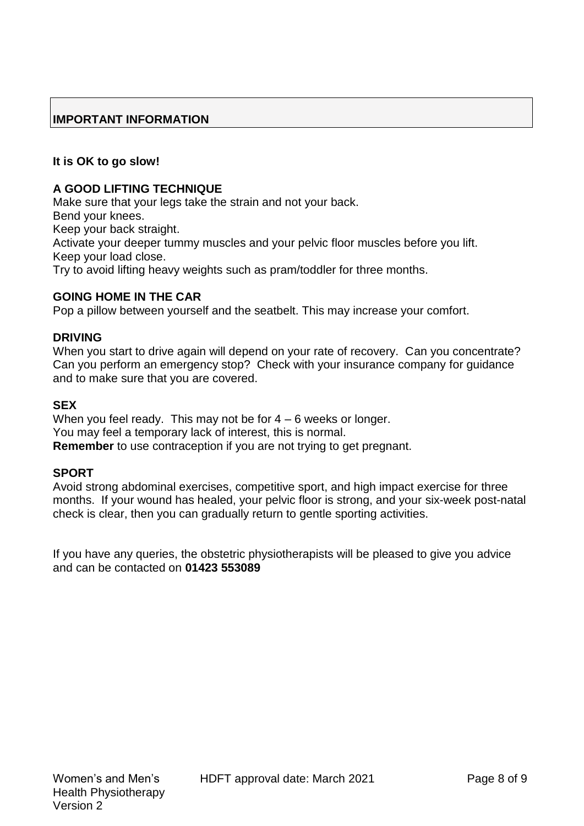# **IMPORTANT INFORMATION**

# **It is OK to go slow!**

## **A GOOD LIFTING TECHNIQUE**

Make sure that your legs take the strain and not your back. Bend your knees. Keep your back straight. Activate your deeper tummy muscles and your pelvic floor muscles before you lift. Keep your load close.

Try to avoid lifting heavy weights such as pram/toddler for three months.

# **GOING HOME IN THE CAR**

Pop a pillow between yourself and the seatbelt. This may increase your comfort.

## **DRIVING**

When you start to drive again will depend on your rate of recovery. Can you concentrate? Can you perform an emergency stop? Check with your insurance company for guidance and to make sure that you are covered.

### **SEX**

When you feel ready. This may not be for  $4 - 6$  weeks or longer. You may feel a temporary lack of interest, this is normal. **Remember** to use contraception if you are not trying to get pregnant.

### **SPORT**

Avoid strong abdominal exercises, competitive sport, and high impact exercise for three months. If your wound has healed, your pelvic floor is strong, and your six-week post-natal check is clear, then you can gradually return to gentle sporting activities.

If you have any queries, the obstetric physiotherapists will be pleased to give you advice and can be contacted on **01423 553089**